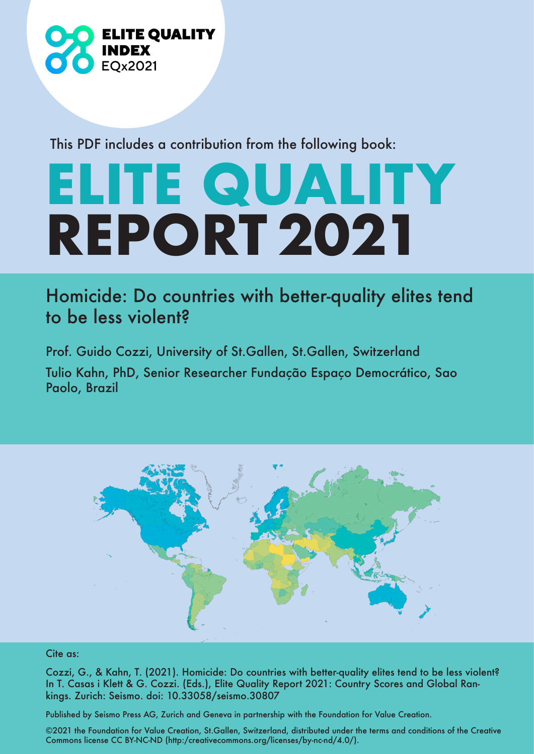

This PDF includes a contribution from the following book:

# **ELITE QUALITY REPORT 2021**

## Homicide: Do countries with better-quality elites tend to be less violent?

Prof. Guido Cozzi, University of St.Gallen, St.Gallen, Switzerland Tulio Kahn, PhD, Senior Researcher Fundação Espaço Democrático, Sao Paolo, Brazil



#### Cite as:

Cozzi, G., & Kahn, T. (2021). Homicide: Do countries with better-quality elites tend to be less violent? In T. Casas i Klett & G. Cozzi. (Eds.), Elite Quality Report 2021: Country Scores and Global Rankings. Zurich: Seismo. doi: 10.33058/seismo.30807

Published by Seismo Press AG, Zurich and Geneva in partnership with the Foundation for Value Creation.

©2021 the Foundation for Value Creation, St.Gallen, Switzerland, distributed under the terms and conditions of the Creative Commons license CC BY-NC-ND (http:/creativecommons.org/licenses/by-nc-nd/4.0/).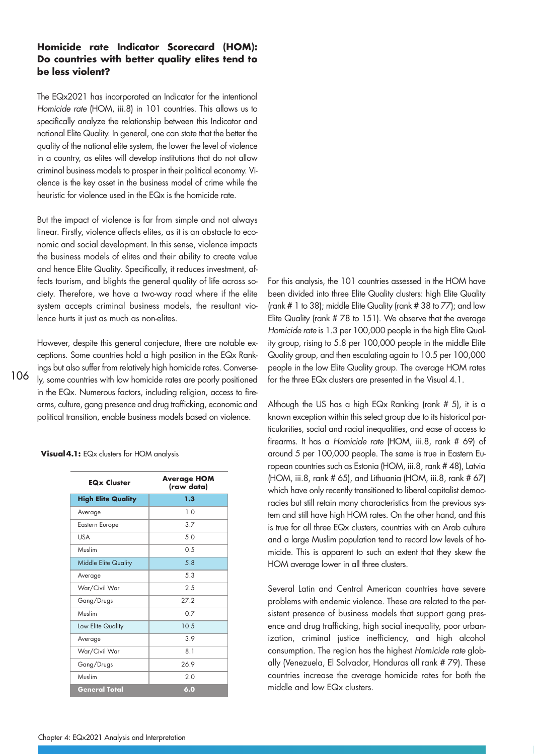#### **Homicide rate Indicator Scorecard (HOM): Do countries with better quality elites tend to be less violent?**

The EQx2021 has incorporated an Indicator for the intentional Homicide rate (HOM, iii.8) in 101 countries. This allows us to specifically analyze the relationship between this Indicator and national Elite Quality. In general, one can state that the better the quality of the national elite system, the lower the level of violence in a country, as elites will develop institutions that do not allow criminal business models to prosper in their political economy. Violence is the key asset in the business model of crime while the heuristic for violence used in the EQx is the homicide rate.

But the impact of violence is far from simple and not always linear. Firstly, violence affects elites, as it is an obstacle to economic and social development. In this sense, violence impacts the business models of elites and their ability to create value and hence Elite Quality. Specifically, it reduces investment, affects tourism, and blights the general quality of life across society. Therefore, we have a two-way road where if the elite system accepts criminal business models, the resultant violence hurts it just as much as non-elites.

However, despite this general conjecture, there are notable exceptions. Some countries hold a high position in the EQx Rankings but also suffer from relatively high homicide rates. Conversely, some countries with low homicide rates are poorly positioned in the EQx. Numerous factors, including religion, access to firearms, culture, gang presence and drug trafficking, economic and political transition, enable business models based on violence.

**Visual 4.1:** EQx clusters for HOM analysis

| <b>EQx Cluster</b>          | <b>Average HOM</b><br>(raw data) |  |  |  |  |
|-----------------------------|----------------------------------|--|--|--|--|
| <b>High Elite Quality</b>   | 1.3                              |  |  |  |  |
| Average                     | 1.0                              |  |  |  |  |
| <b>Eastern Europe</b>       | 3.7<br>50                        |  |  |  |  |
| <b>USA</b>                  |                                  |  |  |  |  |
| Muslim                      | 0.5                              |  |  |  |  |
| <b>Middle Elite Quality</b> | 5.8                              |  |  |  |  |
| Average                     | 5.3                              |  |  |  |  |
| War/Civil War               | 2.5<br>27.2                      |  |  |  |  |
| Gang/Drugs                  |                                  |  |  |  |  |
| Muslim                      | 07                               |  |  |  |  |
| Low Elite Quality           | 10.5                             |  |  |  |  |
| Average                     | 3.9                              |  |  |  |  |
| War/Civil War               | 8.1                              |  |  |  |  |
| Gang/Drugs                  | 269                              |  |  |  |  |
| Muslim                      | 2.0                              |  |  |  |  |
| <b>General Total</b>        | 6.0                              |  |  |  |  |

For this analysis, the 101 countries assessed in the HOM have been divided into three Elite Quality clusters: high Elite Quality (rank # 1 to 38); middle Elite Quality (rank # 38 to 77); and low Elite Quality (rank # 78 to 151). We observe that the average Homicide rate is 1.3 per 100,000 people in the high Elite Quality group, rising to 5.8 per 100,000 people in the middle Elite Quality group, and then escalating again to 10.5 per 100,000 people in the low Elite Quality group. The average HOM rates for the three EQx clusters are presented in the Visual 4.1.

Although the US has a high EQx Ranking (rank # 5), it is a known exception within this select group due to its historical particularities, social and racial inequalities, and ease of access to firearms. It has a Homicide rate (HOM, iii.8, rank # 69) of around 5 per 100,000 people. The same is true in Eastern European countries such as Estonia (HOM, iii.8, rank # 48), Latvia (HOM, iii.8, rank # 65), and Lithuania (HOM, iii.8, rank # 67) which have only recently transitioned to liberal capitalist democracies but still retain many characteristics from the previous system and still have high HOM rates. On the other hand, and this is true for all three EQx clusters, countries with an Arab culture and a large Muslim population tend to record low levels of homicide. This is apparent to such an extent that they skew the HOM average lower in all three clusters.

Several Latin and Central American countries have severe problems with endemic violence. These are related to the persistent presence of business models that support gang presence and drug trafficking, high social inequality, poor urbanization, criminal justice inefficiency, and high alcohol consumption. The region has the highest Homicide rate globally (Venezuela, El Salvador, Honduras all rank # 79). These countries increase the average homicide rates for both the middle and low EQx clusters.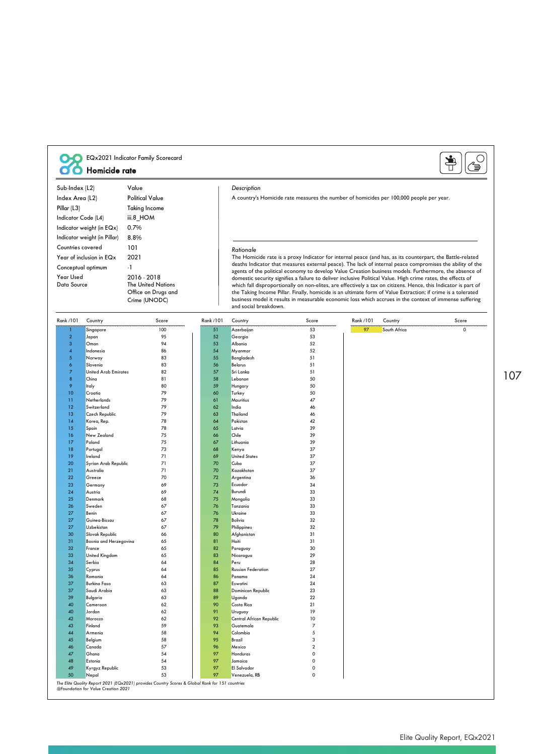| EQx2021 Indicator Family Scorecard<br>Homicide rate |                                         |                                                                   |                                                                                                           |                                                                                                                                                                                                                        |                                                                                                                                       |                     |           |              |                                                                                                                                                                                                                            |  |
|-----------------------------------------------------|-----------------------------------------|-------------------------------------------------------------------|-----------------------------------------------------------------------------------------------------------|------------------------------------------------------------------------------------------------------------------------------------------------------------------------------------------------------------------------|---------------------------------------------------------------------------------------------------------------------------------------|---------------------|-----------|--------------|----------------------------------------------------------------------------------------------------------------------------------------------------------------------------------------------------------------------------|--|
| Sub-Index (L2)                                      |                                         | Value                                                             |                                                                                                           |                                                                                                                                                                                                                        | Description                                                                                                                           |                     |           |              |                                                                                                                                                                                                                            |  |
| Index Area (L2)                                     |                                         | <b>Political Value</b>                                            |                                                                                                           |                                                                                                                                                                                                                        | A country's Homicide rate measures the number of homicides per 100,000 people per year.                                               |                     |           |              |                                                                                                                                                                                                                            |  |
| <b>Taking Income</b>                                |                                         |                                                                   |                                                                                                           |                                                                                                                                                                                                                        |                                                                                                                                       |                     |           |              |                                                                                                                                                                                                                            |  |
| Pillar (L3)                                         |                                         |                                                                   |                                                                                                           |                                                                                                                                                                                                                        |                                                                                                                                       |                     |           |              |                                                                                                                                                                                                                            |  |
| Indicator Code (L4)<br>iii.8_HOM                    |                                         |                                                                   |                                                                                                           |                                                                                                                                                                                                                        |                                                                                                                                       |                     |           |              |                                                                                                                                                                                                                            |  |
|                                                     | Indicator weight (in EQx)               | 0.7%                                                              |                                                                                                           |                                                                                                                                                                                                                        |                                                                                                                                       |                     |           |              |                                                                                                                                                                                                                            |  |
| Indicator weight (in Pillar)<br>8.8%                |                                         |                                                                   |                                                                                                           |                                                                                                                                                                                                                        |                                                                                                                                       |                     |           |              |                                                                                                                                                                                                                            |  |
| 101<br>Countries covered                            |                                         |                                                                   |                                                                                                           | Rationale                                                                                                                                                                                                              |                                                                                                                                       |                     |           |              |                                                                                                                                                                                                                            |  |
| Year of inclusion in EQx<br>2021                    |                                         |                                                                   |                                                                                                           | The Homicide rate is a proxy Indicator for internal peace (and has, as its counterpart, the Battle-related                                                                                                             |                                                                                                                                       |                     |           |              |                                                                                                                                                                                                                            |  |
| Conceptual optimum<br>-1                            |                                         |                                                                   | deaths Indicator that measures external peace). The lack of internal peace compromises the ability of the |                                                                                                                                                                                                                        |                                                                                                                                       |                     |           |              |                                                                                                                                                                                                                            |  |
| Year Used                                           |                                         | 2016 - 2018                                                       |                                                                                                           | agents of the political economy to develop Value Creation business models. Furthermore, the absence of<br>domestic security signifies a failure to deliver inclusive Political Value. High crime rates, the effects of |                                                                                                                                       |                     |           |              |                                                                                                                                                                                                                            |  |
| Data Source                                         |                                         | <b>The United Nations</b><br>Office on Drugs and<br>Crime (UNODC) |                                                                                                           |                                                                                                                                                                                                                        | the Taking Income Pillar. Finally, homicide is an ultimate form of Value Extraction; if crime is a tolerated<br>and social breakdown. |                     |           |              | which fall disproportionally on non-elites, are effectively a tax on citizens. Hence, this Indicator is part of<br>business model it results in measurable economic loss which accrues in the context of immense suffering |  |
| Rank /101                                           | Country                                 | Score                                                             |                                                                                                           | Rank /101                                                                                                                                                                                                              | Country                                                                                                                               | Score               | Rank /101 | Country      | Score                                                                                                                                                                                                                      |  |
| 1                                                   | Singapore                               | 100                                                               |                                                                                                           | 51                                                                                                                                                                                                                     | Azerbaijan                                                                                                                            | 53                  | 97        | South Africa | $\mathsf{O}\xspace$                                                                                                                                                                                                        |  |
| $\mathbf 2$                                         | Japan                                   | 95                                                                |                                                                                                           | 52                                                                                                                                                                                                                     | Georgia                                                                                                                               | 53                  |           |              |                                                                                                                                                                                                                            |  |
| 3                                                   | Oman                                    | 94                                                                |                                                                                                           | 53                                                                                                                                                                                                                     | Albania                                                                                                                               | 52                  |           |              |                                                                                                                                                                                                                            |  |
| $\overline{4}$                                      | Indonesia                               | 86                                                                |                                                                                                           | 54                                                                                                                                                                                                                     | Myanmar                                                                                                                               | 52                  |           |              |                                                                                                                                                                                                                            |  |
| $\sqrt{5}$                                          | Norway                                  | 83                                                                |                                                                                                           | 55                                                                                                                                                                                                                     | Bangladesh                                                                                                                            | 51                  |           |              |                                                                                                                                                                                                                            |  |
| 6<br>$\overline{7}$                                 | Slovenia<br><b>United Arab Emirates</b> | 83<br>82                                                          |                                                                                                           | 56<br>57                                                                                                                                                                                                               | Belarus<br>Sri Lanka                                                                                                                  | 51<br>51            |           |              |                                                                                                                                                                                                                            |  |
| $\bf8$                                              | China                                   | 81                                                                |                                                                                                           | 58                                                                                                                                                                                                                     | Lebanon                                                                                                                               | 50                  |           |              |                                                                                                                                                                                                                            |  |
| 9                                                   | Italy                                   | 80                                                                |                                                                                                           | 59                                                                                                                                                                                                                     | Hungary                                                                                                                               | 50                  |           |              |                                                                                                                                                                                                                            |  |
| 10                                                  | Croatia                                 | 79                                                                |                                                                                                           | 60                                                                                                                                                                                                                     | Turkey                                                                                                                                | 50                  |           |              |                                                                                                                                                                                                                            |  |
| Ħ                                                   | Netherlands                             | 79                                                                |                                                                                                           | 61                                                                                                                                                                                                                     | Mauritius                                                                                                                             | 47                  |           |              |                                                                                                                                                                                                                            |  |
| 12                                                  | Switzerland                             | 79                                                                |                                                                                                           | 62                                                                                                                                                                                                                     | India                                                                                                                                 | 46                  |           |              |                                                                                                                                                                                                                            |  |
| 13<br>14                                            | Czech Republic<br>Korea, Rep.           | 79<br>78                                                          |                                                                                                           | 63<br>64                                                                                                                                                                                                               | Thailand<br>Pakistan                                                                                                                  | 46<br>42            |           |              |                                                                                                                                                                                                                            |  |
| 15                                                  | Spain                                   | 78                                                                |                                                                                                           | 65                                                                                                                                                                                                                     | Latvia                                                                                                                                | 39                  |           |              |                                                                                                                                                                                                                            |  |
| 16                                                  | New Zealand                             | 75                                                                |                                                                                                           | 66                                                                                                                                                                                                                     | Chile                                                                                                                                 | 39                  |           |              |                                                                                                                                                                                                                            |  |
| 17                                                  | Poland                                  | 75                                                                |                                                                                                           | 67                                                                                                                                                                                                                     | Lithuania                                                                                                                             | 39                  |           |              |                                                                                                                                                                                                                            |  |
| 18                                                  | Portugal                                | 73                                                                |                                                                                                           | 68                                                                                                                                                                                                                     | Kenya                                                                                                                                 | 37                  |           |              |                                                                                                                                                                                                                            |  |
| 19<br>20                                            | Ireland<br>Syrian Arab Republic         | 71<br>71                                                          |                                                                                                           | 69<br>70                                                                                                                                                                                                               | <b>United States</b><br>Cuba                                                                                                          | 37<br>37            |           |              |                                                                                                                                                                                                                            |  |
| 21                                                  | Australia                               | 71                                                                |                                                                                                           | 70                                                                                                                                                                                                                     | Kazakhstan                                                                                                                            | 37                  |           |              |                                                                                                                                                                                                                            |  |
| 22                                                  | Greece                                  | 70                                                                |                                                                                                           | 72                                                                                                                                                                                                                     | Argentina                                                                                                                             | 36                  |           |              |                                                                                                                                                                                                                            |  |
| 23                                                  | Germany                                 | 69                                                                |                                                                                                           | 73                                                                                                                                                                                                                     | Ecuador                                                                                                                               | 34                  |           |              |                                                                                                                                                                                                                            |  |
| 24                                                  | Austria                                 | 69                                                                |                                                                                                           | 74                                                                                                                                                                                                                     | Burundi                                                                                                                               | 33                  |           |              |                                                                                                                                                                                                                            |  |
| 25<br>26                                            | Denmark<br>Sweden                       | 68<br>67                                                          |                                                                                                           | 75<br>76                                                                                                                                                                                                               | Mongolia<br>Tanzania                                                                                                                  | 33<br>33            |           |              |                                                                                                                                                                                                                            |  |
| 27                                                  | Benin                                   | 67                                                                |                                                                                                           | 76                                                                                                                                                                                                                     | Ukraine                                                                                                                               | 33                  |           |              |                                                                                                                                                                                                                            |  |
| 27                                                  | Guinea-Bissau                           | 67                                                                |                                                                                                           | 78                                                                                                                                                                                                                     | Bolivia                                                                                                                               | 32                  |           |              |                                                                                                                                                                                                                            |  |
| 27                                                  | Uzbekistan                              | 67                                                                |                                                                                                           | 79                                                                                                                                                                                                                     | Philippines                                                                                                                           | 32                  |           |              |                                                                                                                                                                                                                            |  |
| 30                                                  | Slovak Republic                         | 66                                                                |                                                                                                           | 80                                                                                                                                                                                                                     | Afghanistan                                                                                                                           | 31                  |           |              |                                                                                                                                                                                                                            |  |
| 31                                                  | Bosnia and Herzegovina                  | 65                                                                |                                                                                                           | 81                                                                                                                                                                                                                     | Haiti                                                                                                                                 | 31                  |           |              |                                                                                                                                                                                                                            |  |
| 32<br>33                                            | France<br>United Kingdom                | 65<br>65                                                          |                                                                                                           | 82<br>83                                                                                                                                                                                                               | Paraguay<br>Nicaragua                                                                                                                 | 30<br>29            |           |              |                                                                                                                                                                                                                            |  |
| 34                                                  | Serbia                                  | 64                                                                |                                                                                                           | 84                                                                                                                                                                                                                     | Peru                                                                                                                                  | 28                  |           |              |                                                                                                                                                                                                                            |  |
| 35                                                  | Cyprus                                  | 64                                                                |                                                                                                           | 85                                                                                                                                                                                                                     | <b>Russian Federation</b>                                                                                                             | 27                  |           |              |                                                                                                                                                                                                                            |  |
| 36                                                  | Romania                                 | 64                                                                |                                                                                                           | 86                                                                                                                                                                                                                     | Panama                                                                                                                                | 24                  |           |              |                                                                                                                                                                                                                            |  |
| 37                                                  | <b>Burkina Faso</b>                     | 63                                                                |                                                                                                           | 87                                                                                                                                                                                                                     | Eswatini                                                                                                                              | 24                  |           |              |                                                                                                                                                                                                                            |  |
| 37<br>39                                            | Saudi Arabia<br>Bulgaria                | 63<br>63                                                          |                                                                                                           | 88<br>89                                                                                                                                                                                                               | Dominican Republic<br>Uganda                                                                                                          | 23<br>22            |           |              |                                                                                                                                                                                                                            |  |
| 40                                                  | Cameroon                                | 62                                                                |                                                                                                           | 90                                                                                                                                                                                                                     | Costa Rica                                                                                                                            | 21                  |           |              |                                                                                                                                                                                                                            |  |
| 40                                                  | Jordan                                  | 62                                                                |                                                                                                           | 91                                                                                                                                                                                                                     | Uruguay                                                                                                                               | 19                  |           |              |                                                                                                                                                                                                                            |  |
| 42                                                  | Morocco                                 | 62                                                                |                                                                                                           | 92                                                                                                                                                                                                                     | <b>Central African Republic</b>                                                                                                       | 10                  |           |              |                                                                                                                                                                                                                            |  |
| 43                                                  | Finland                                 | 59                                                                |                                                                                                           | 93                                                                                                                                                                                                                     | Guatemala                                                                                                                             | $\overline{7}$      |           |              |                                                                                                                                                                                                                            |  |
| 44                                                  | Armenia                                 | 58                                                                |                                                                                                           | 94                                                                                                                                                                                                                     | Colombia                                                                                                                              | $\sqrt{5}$          |           |              |                                                                                                                                                                                                                            |  |
| 45<br>46                                            | Belgium<br>Canada                       | 58<br>57                                                          |                                                                                                           | 95<br>96                                                                                                                                                                                                               | <b>Brazil</b><br>Mexico                                                                                                               | 3<br>$\overline{2}$ |           |              |                                                                                                                                                                                                                            |  |
| 47                                                  | Ghana                                   | 54                                                                |                                                                                                           | 97                                                                                                                                                                                                                     | Honduras                                                                                                                              | $\mathbf 0$         |           |              |                                                                                                                                                                                                                            |  |
| 48                                                  | Estonia                                 | 54                                                                |                                                                                                           | 97                                                                                                                                                                                                                     | Jamaica                                                                                                                               | $\mathbf 0$         |           |              |                                                                                                                                                                                                                            |  |
| 49                                                  | Kyrgyz Republic                         | 53                                                                |                                                                                                           | 97                                                                                                                                                                                                                     | El Salvador                                                                                                                           | $\mathsf{o}\,$      |           |              |                                                                                                                                                                                                                            |  |
|                                                     |                                         |                                                                   |                                                                                                           |                                                                                                                                                                                                                        |                                                                                                                                       | $\mathsf{o}\,$      |           |              |                                                                                                                                                                                                                            |  |

The Elite Quality Report 2021 (EQx2021) provides Country Scores & Global Rank for 151 countries @Foundation for Value Creation 2021

107

### Elite Quality Report, EQx2021